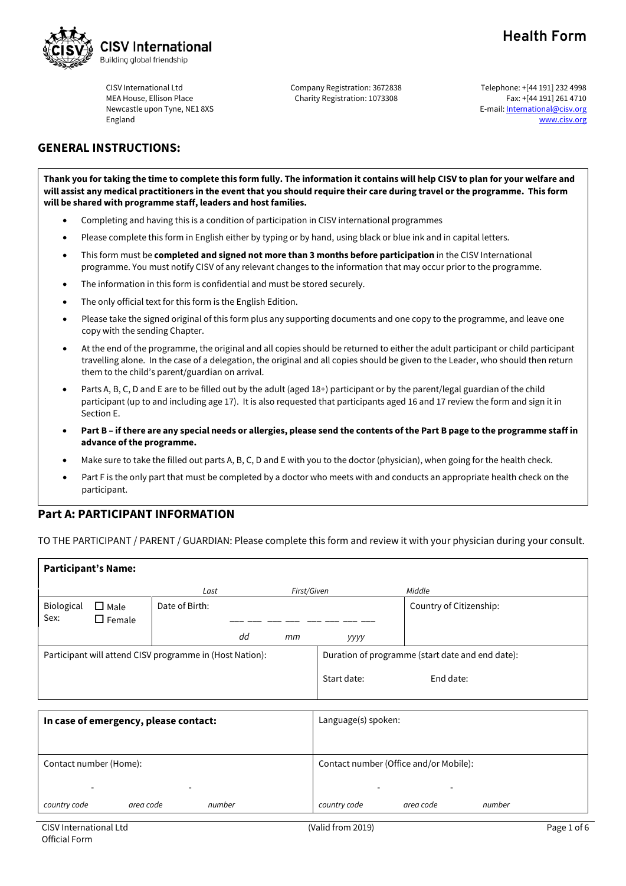

CISV International Ltd MEA House, Ellison Place Newcastle upon Tyne, NE1 8XS England

Company Registration: 3672838 Charity Registration: 1073308

**Health Form**

Telephone: +[44 191] 232 4998 Fax: +[44 191] 261 4710 E-mail: International@cisv.org [www.cisv.org](http://www.cisv.org/)

# **GENERAL INSTRUCTIONS:**

**Thank you for taking the time to complete this form fully. The information it contains will help CISV to plan for your welfare and will assist any medical practitioners in the event that you should require their care during travel or the programme. This form will be shared with programme staff, leaders and host families.**

- Completing and having this is a condition of participation in CISV international programmes
- Please complete this form in English either by typing or by hand, using black or blue ink and in capital letters.
- This form must be **completed and signed not more than 3 months before participation** in the CISV International programme. You must notify CISV of any relevant changes to the information that may occur prior to the programme.
- The information in this form is confidential and must be stored securely.
- The only official text for this form is the English Edition.
- Please take the signed original of this form plus any supporting documents and one copy to the programme, and leave one copy with the sending Chapter.
- At the end of the programme, the original and all copies should be returned to either the adult participant or child participant travelling alone. In the case of a delegation, the original and all copies should be given to the Leader, who should then return them to the child's parent/guardian on arrival.
- Parts A, B, C, D and E are to be filled out by the adult (aged 18+) participant or by the parent/legal guardian of the child participant (up to and including age 17). It is also requested that participants aged 16 and 17 review the form and sign it in Section E.
- **Part B if there are any special needs or allergies, please send the contents of the Part B page to the programme staff in advance of the programme.**
- Make sure to take the filled out parts A, B, C, D and E with you to the doctor (physician), when going for the health check.
- Part F is the only part that must be completed by a doctor who meets with and conducts an appropriate health check on the participant.

## **Part A: PARTICIPANT INFORMATION**

TO THE PARTICIPANT / PARENT / GUARDIAN: Please complete this form and review it with your physician during your consult.

| <b>Participant's Name:</b>            |                                 |                                                          |                     |             |                                                  |                         |        |
|---------------------------------------|---------------------------------|----------------------------------------------------------|---------------------|-------------|--------------------------------------------------|-------------------------|--------|
|                                       |                                 | Last                                                     |                     | First/Given |                                                  | Middle                  |        |
| Biological<br>Sex:                    | $\square$ Male<br>$\Box$ Female | Date of Birth:                                           |                     |             |                                                  | Country of Citizenship: |        |
|                                       |                                 |                                                          | dd                  | mm          | уууу                                             |                         |        |
|                                       |                                 | Participant will attend CISV programme in (Host Nation): |                     |             | Duration of programme (start date and end date): |                         |        |
|                                       |                                 |                                                          |                     |             | Start date:                                      | End date:               |        |
|                                       |                                 |                                                          |                     |             |                                                  |                         |        |
| In case of emergency, please contact: |                                 |                                                          | Language(s) spoken: |             |                                                  |                         |        |
| Contact number (Home):                |                                 | Contact number (Office and/or Mobile):<br>۰              |                     |             |                                                  |                         |        |
| country code                          | area code                       | number                                                   |                     |             | country code                                     | area code               | number |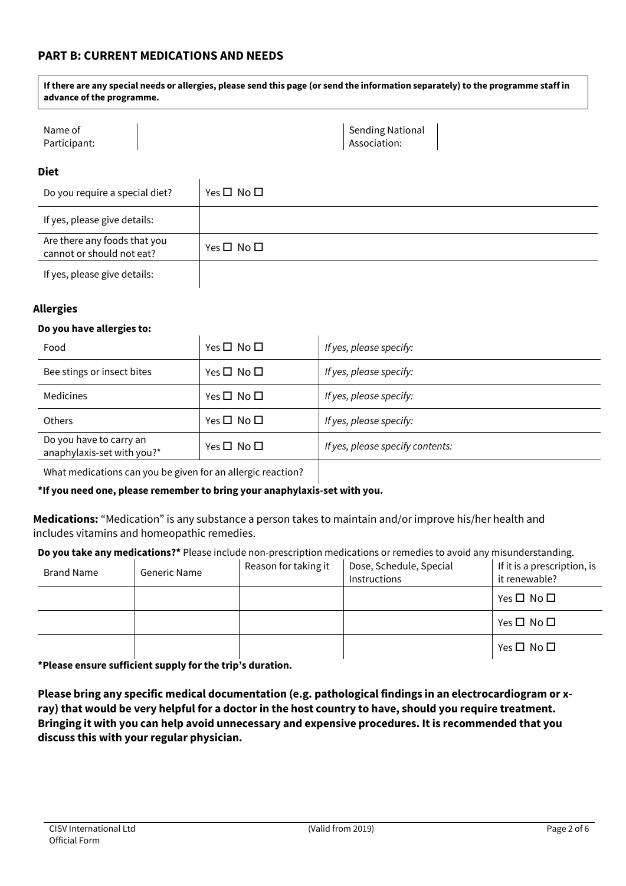# **PART B: CURRENT MEDICATIONS AND NEEDS**

**If there are any special needs or allergies, please send this page (or send the information separately) to the programme staff in advance of the programme.**

| Name of      | Sending National |
|--------------|------------------|
| Participant: | Association:     |

#### **Diet**

| Do you require a special diet?                            | Yes $\square$ No $\square$ |
|-----------------------------------------------------------|----------------------------|
| If yes, please give details:                              |                            |
| Are there any foods that you<br>cannot or should not eat? | Yes $\Box$ No $\Box$       |
| If yes, please give details:                              |                            |

### **Allergies**

#### **Do you have allergies to:**

| Food                                                  | Yes $\square$ No $\square$ | If yes, please specify:          |
|-------------------------------------------------------|----------------------------|----------------------------------|
| Bee stings or insect bites                            | Yes $\square$ No $\square$ | If yes, please specify:          |
| Medicines                                             | Yes $\square$ No $\square$ | If yes, please specify:          |
| <b>Others</b>                                         | Yes $\square$ No $\square$ | If yes, please specify:          |
| Do you have to carry an<br>anaphylaxis-set with you?* | Yes $\square$ No $\square$ | If yes, please specify contents: |
|                                                       |                            |                                  |

What medications can you be given for an allergic reaction?

**\*If you need one, please remember to bring your anaphylaxis-set with you.**

**Medications:** "Medication" is any substance a person takes to maintain and/or improve his/her health and includes vitamins and homeopathic remedies.

**Do you take any medications?\*** Please include non-prescription medications or remedies to avoid any misunderstanding.

| <b>Brand Name</b> | Generic Name | Reason for taking it | Dose, Schedule, Special<br>Instructions | If it is a prescription, is<br>it renewable? |
|-------------------|--------------|----------------------|-----------------------------------------|----------------------------------------------|
|                   |              |                      |                                         | Yes $\square$ No $\square$                   |
|                   |              |                      |                                         | Yes $\square$ No $\square$                   |
|                   |              |                      |                                         | Yes $\square$ No $\square$                   |

**\*Please ensure sufficient supply for the trip's duration.**

**Please bring any specific medical documentation (e.g. pathological findings in an electrocardiogram or xray) that would be very helpful for a doctor in the host country to have, should you require treatment. Bringing it with you can help avoid unnecessary and expensive procedures. It is recommended that you discuss this with your regular physician.**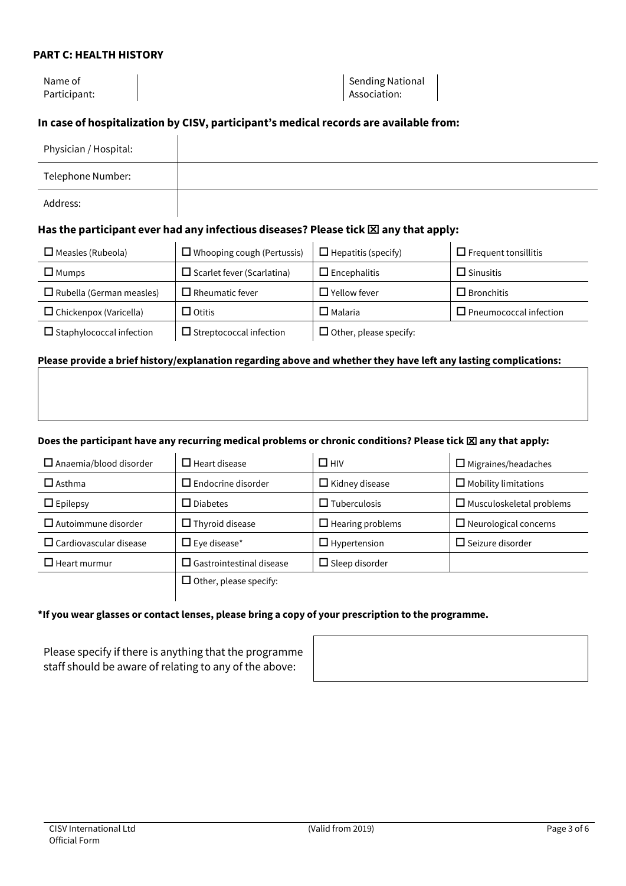## **PART C: HEALTH HISTORY**

Name of Participant:

Sending National Association:

## **In case of hospitalization by CISV, participant's medical records are available from:**

| Physician / Hospital: |  |
|-----------------------|--|
| Telephone Number:     |  |
| Address:              |  |

## **Has the participant ever had any infectious diseases? Please tick any that apply:**

| $\Box$ Measles (Rubeola)        | $\Box$ Whooping cough (Pertussis) | $\Box$ Hepatitis (specify)    | $\Box$ Frequent tonsillitis   |
|---------------------------------|-----------------------------------|-------------------------------|-------------------------------|
| $\Box$ Mumps                    | $\Box$ Scarlet fever (Scarlatina) | $\Box$ Encephalitis           | $\Box$ Sinusitis              |
| $\Box$ Rubella (German measles) | $\Box$ Rheumatic fever            | $\Box$ Yellow fever .         | $\Box$ Bronchitis             |
| $\Box$ Chickenpox (Varicella)   | $\square$ Otitis                  | $\Box$ Malaria                | $\Box$ Pneumococcal infection |
| $\Box$ Staphylococcal infection | $\Box$ Streptococcal infection    | $\Box$ Other, please specify: |                               |

### **Please provide a brief history/explanation regarding above and whether they have left any lasting complications:**

### Does the participant have any recurring medical problems or chronic conditions? Please tick **XX** any that apply:

| $\Box$ Anaemia/blood disorder    | $\Box$ Heart disease            | $\Box$ HIV              | $\Box$ Migraines/headaches      |
|----------------------------------|---------------------------------|-------------------------|---------------------------------|
| $\square$ Asthma                 | $\Box$ Endocrine disorder       | $\Box$ Kidney disease   | $\Box$ Mobility limitations     |
| $\Box$ Epilepsy                  | $\Box$ Diabetes                 | $\Box$ Tuberculosis     | $\Box$ Musculoskeletal problems |
| $\Box$ Autoimmune disorder       | $\Box$ Thyroid disease          | $\Box$ Hearing problems | $\Box$ Neurological concerns    |
| $\square$ Cardiovascular disease | $\Box$ Eye disease*             | $\Box$ Hypertension     | $\Box$ Seizure disorder         |
| $\Box$ Heart murmur              | $\Box$ Gastrointestinal disease | $\Box$ Sleep disorder   |                                 |
|                                  | $\Box$ Other, please specify:   |                         |                                 |

### **\*If you wear glasses or contact lenses, please bring a copy of your prescription to the programme.**

Please specify if there is anything that the programme staff should be aware of relating to any of the above: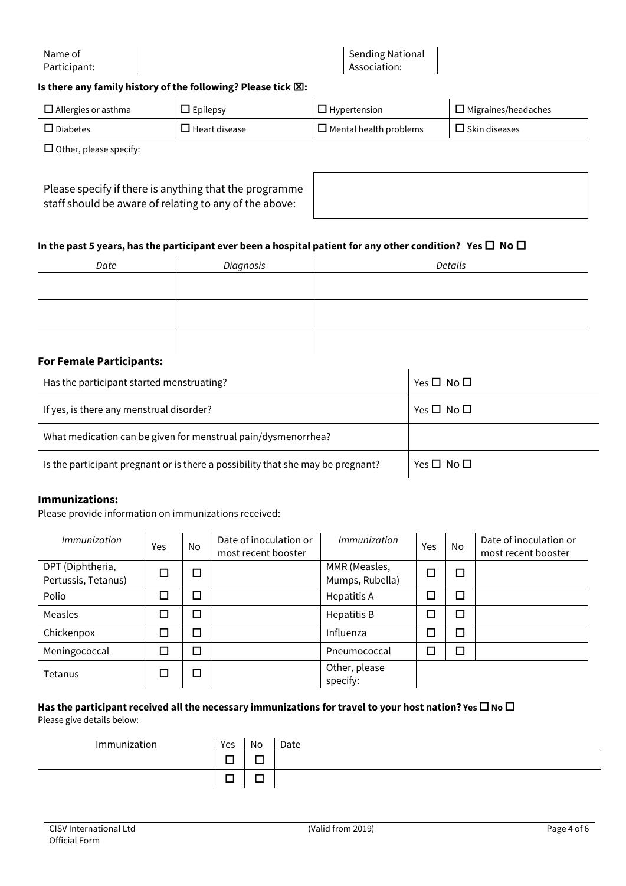Name of Participant:

Sending National Association:

### **Is there any family history of the following? Please tick**  $\boxtimes$ **:**

| $\Box$ Allergies or asthma | $\Box$ Epilepsy      | $\Box$ Hypertension           | $\Box$ Migraines/headaches |
|----------------------------|----------------------|-------------------------------|----------------------------|
| $\Box$ Diabetes            | $\Box$ Heart disease | $\Box$ Mental health problems | $\Box$ Skin diseases       |

 $\square$  Other, please specify:

| Please specify if there is anything that the programme |
|--------------------------------------------------------|
| staff should be aware of relating to any of the above: |

### In the past 5 years, has the participant ever been a hospital patient for any other condition? Yes  $\Box$  No  $\Box$

| Date                                                                                                            | Diagnosis | Details |
|-----------------------------------------------------------------------------------------------------------------|-----------|---------|
|                                                                                                                 |           |         |
|                                                                                                                 |           |         |
|                                                                                                                 |           |         |
|                                                                                                                 |           |         |
| the contract of the contract of the contract of the contract of the contract of the contract of the contract of |           |         |

#### **For Female Participants:**

| Has the participant started menstruating?                                       | Yes $\square$ No $\square$ |
|---------------------------------------------------------------------------------|----------------------------|
| If yes, is there any menstrual disorder?                                        | Yes $\square$ No $\square$ |
| What medication can be given for menstrual pain/dysmenorrhea?                   |                            |
| Is the participant pregnant or is there a possibility that she may be pregnant? | Yes $\square$ No $\square$ |

#### **Immunizations:**

Please provide information on immunizations received:

| Immunization                            | Yes | No.                         | Date of inoculation or<br>most recent booster | Immunization                     | Yes | No | Date of inoculation or<br>most recent booster |
|-----------------------------------------|-----|-----------------------------|-----------------------------------------------|----------------------------------|-----|----|-----------------------------------------------|
| DPT (Diphtheria,<br>Pertussis, Tetanus) |     | $\overline{\phantom{a}}$    |                                               | MMR (Measles,<br>Mumps, Rubella) |     | П  |                                               |
| Polio                                   |     | $\Box$                      |                                               | Hepatitis A                      |     | □  |                                               |
| Measles                                 |     | $\mathcal{L}_{\mathcal{A}}$ |                                               | Hepatitis B                      |     | П  |                                               |
| Chickenpox                              |     | $\overline{\phantom{0}}$    |                                               | Influenza                        |     | □  |                                               |
| Meningococcal                           |     | $\overline{\phantom{a}}$    |                                               | Pneumococcal                     |     | □  |                                               |
| Tetanus                                 |     |                             |                                               | Other, please<br>specify:        |     |    |                                               |

#### Has the participant received all the necessary immunizations for travel to your host nation? Yes  $\Box$  No  $\Box$ Please give details below:

| Immunization | Yes    | No | Date |
|--------------|--------|----|------|
|              | —      |    |      |
|              | –<br>- |    |      |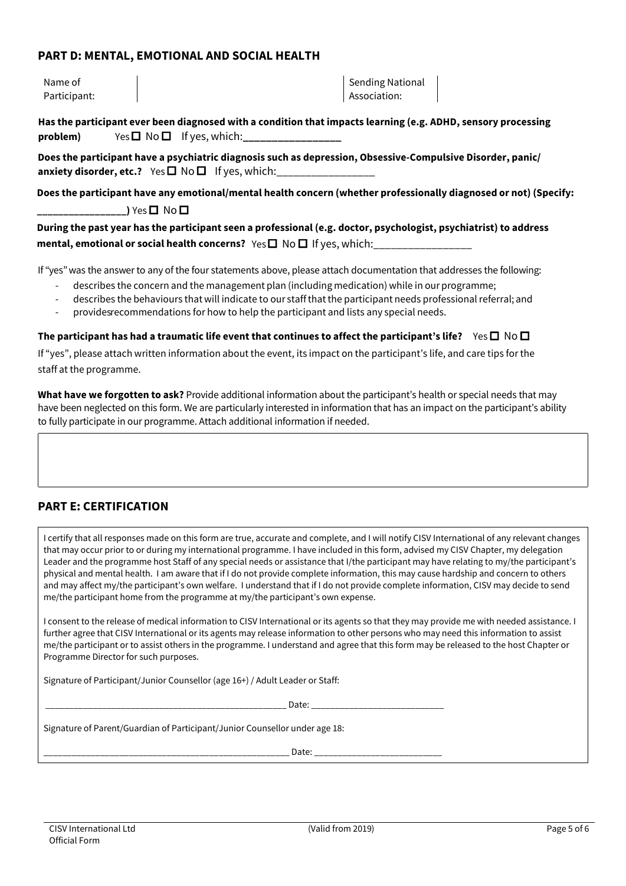## **PART D: MENTAL, EMOTIONAL AND SOCIAL HEALTH**

Name of Participant: Sending National Association:

**Has the participant ever been diagnosed with a condition that impacts learning (e.g. ADHD, sensory processing**   $problem)$  Yes  $\Box$  No  $\Box$  If yes, which:

**Does the participant have a psychiatric diagnosis such as depression, Obsessive-Compulsive Disorder, panic/ anxiety disorder, etc.?** Yes  $\Box$  No $\Box$  If yes, which:

**Does the participant have any emotional/mental health concern (whether professionally diagnosed or not) (Specify: \_\_)** Yes **□** No **□** 

**During the past year has the participant seen a professional (e.g. doctor, psychologist, psychiatrist) to address mental, emotional or social health concerns?** Yes **□** No □ If yes, which:

If "yes" was the answer to any of the four statements above, please attach documentation that addresses the following:

- describes the concern and the management plan (including medication) while in our programme;
- describes the behaviours that will indicate to our staffthatthe participant needs professionalreferral; and
- provides recommendations for how to help the participant and lists any special needs.

**The participant has had a traumatic life event that continues to affect the participant's life?** Yes  $\square$  No  $\square$ 

If "yes", please attach written information about the event, its impact on the participant's life, and care tips for the staff at the programme.

**What have we forgotten to ask?** Provide additional information about the participant's health or special needs that may have been neglected on this form. We are particularly interested in information that has an impact on the participant's ability to fully participate in our programme. Attach additional information if needed.

# **PART E: CERTIFICATION**

I certify that all responses made on this form are true, accurate and complete, and I will notify CISV International of any relevant changes that may occur prior to or during my international programme. I have included in this form, advised my CISV Chapter, my delegation Leader and the programme host Staff of any special needs or assistance that I/the participant may have relating to my/the participant's physical and mental health. I am aware that if I do not provide complete information, this may cause hardship and concern to others and may affect my/the participant's own welfare. I understand that if I do not provide complete information, CISV may decide to send me/the participant home from the programme at my/the participant's own expense.

I consent to the release of medical information to CISV International or its agents so that they may provide me with needed assistance. I further agree that CISV International or its agents may release information to other persons who may need this information to assist me/the participant or to assist others in the programme. I understand and agree that this form may be released to the host Chapter or Programme Director for such purposes.

Signature of Participant/Junior Counsellor (age 16+) / Adult Leader or Staff:

\_\_\_\_\_\_\_\_\_\_\_\_\_\_\_\_\_\_\_\_\_\_\_\_\_\_\_\_\_\_\_\_\_\_\_\_\_\_\_\_\_\_\_\_\_\_\_\_\_\_\_ Date: \_\_\_\_\_\_\_\_\_\_\_\_\_\_\_\_\_\_\_\_\_\_\_\_\_\_\_\_

Signature of Parent/Guardian of Participant/Junior Counsellor under age 18:

\_\_\_\_\_\_\_\_\_\_\_\_\_\_\_\_\_\_\_\_\_\_\_\_\_\_\_\_\_\_\_\_\_\_\_\_\_\_\_\_\_\_\_\_\_\_\_\_\_\_\_\_ Date: \_\_\_\_\_\_\_\_\_\_\_\_\_\_\_\_\_\_\_\_\_\_\_\_\_\_\_